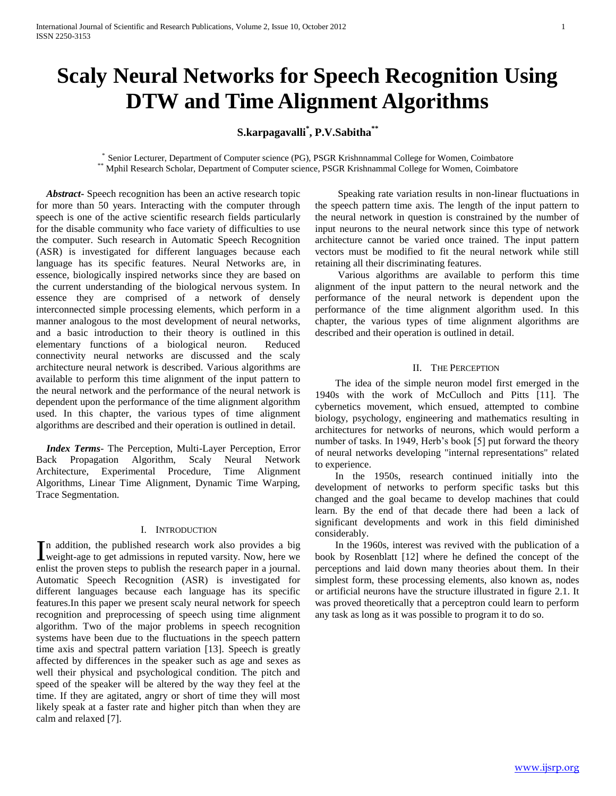# **Scaly Neural Networks for Speech Recognition Using DTW and Time Alignment Algorithms**

## **S.karpagavalli\* , P.V.Sabitha\*\***

\* Senior Lecturer, Department of Computer science (PG), PSGR Krishnnammal College for Women, Coimbatore \*\* Mphil Research Scholar, Department of Computer science, PSGR Krishnammal College for Women, Coimbatore

 *Abstract***-** Speech recognition has been an active research topic for more than 50 years. Interacting with the computer through speech is one of the active scientific research fields particularly for the disable community who face variety of difficulties to use the computer. Such research in Automatic Speech Recognition (ASR) is investigated for different languages because each language has its specific features. Neural Networks are, in essence, biologically inspired networks since they are based on the current understanding of the biological nervous system. In essence they are comprised of a network of densely interconnected simple processing elements, which perform in a manner analogous to the most development of neural networks, and a basic introduction to their theory is outlined in this elementary functions of a biological neuron. Reduced connectivity neural networks are discussed and the scaly architecture neural network is described. Various algorithms are available to perform this time alignment of the input pattern to the neural network and the performance of the neural network is dependent upon the performance of the time alignment algorithm used. In this chapter, the various types of time alignment algorithms are described and their operation is outlined in detail.

 *Index Terms*- The Perception, Multi-Layer Perception, Error Back Propagation Algorithm, Scaly Neural Network Architecture, Experimental Procedure, Time Alignment Algorithms, Linear Time Alignment, Dynamic Time Warping, Trace Segmentation.

## I. INTRODUCTION

n addition, the published research work also provides a big In addition, the published research work also provides a big weight-age to get admissions in reputed varsity. Now, here we enlist the proven steps to publish the research paper in a journal. Automatic Speech Recognition (ASR) is investigated for different languages because each language has its specific features.In this paper we present scaly neural network for speech recognition and preprocessing of speech using time alignment algorithm. Two of the major problems in speech recognition systems have been due to the fluctuations in the speech pattern time axis and spectral pattern variation [13]. Speech is greatly affected by differences in the speaker such as age and sexes as well their physical and psychological condition. The pitch and speed of the speaker will be altered by the way they feel at the time. If they are agitated, angry or short of time they will most likely speak at a faster rate and higher pitch than when they are calm and relaxed [7].

 Speaking rate variation results in non-linear fluctuations in the speech pattern time axis. The length of the input pattern to the neural network in question is constrained by the number of input neurons to the neural network since this type of network architecture cannot be varied once trained. The input pattern vectors must be modified to fit the neural network while still retaining all their discriminating features.

 Various algorithms are available to perform this time alignment of the input pattern to the neural network and the performance of the neural network is dependent upon the performance of the time alignment algorithm used. In this chapter, the various types of time alignment algorithms are described and their operation is outlined in detail.

#### II. THE PERCEPTION

 The idea of the simple neuron model first emerged in the 1940s with the work of McCulloch and Pitts [11]. The cybernetics movement, which ensued, attempted to combine biology, psychology, engineering and mathematics resulting in architectures for networks of neurons, which would perform a number of tasks. In 1949, Herb's book [5] put forward the theory of neural networks developing "internal representations" related to experience.

 In the 1950s, research continued initially into the development of networks to perform specific tasks but this changed and the goal became to develop machines that could learn. By the end of that decade there had been a lack of significant developments and work in this field diminished considerably.

 In the 1960s, interest was revived with the publication of a book by Rosenblatt [12] where he defined the concept of the perceptions and laid down many theories about them. In their simplest form, these processing elements, also known as, nodes or artificial neurons have the structure illustrated in figure 2.1. It was proved theoretically that a perceptron could learn to perform any task as long as it was possible to program it to do so.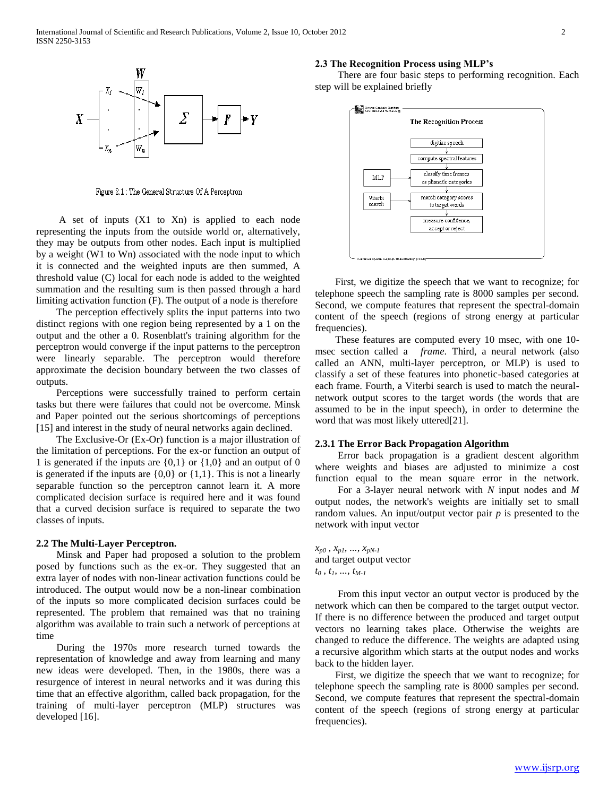

Figure 2.1 : The General Structure Of A Perceptron

 A set of inputs (X1 to Xn) is applied to each node representing the inputs from the outside world or, alternatively, they may be outputs from other nodes. Each input is multiplied by a weight (W1 to Wn) associated with the node input to which it is connected and the weighted inputs are then summed, A threshold value (C) local for each node is added to the weighted summation and the resulting sum is then passed through a hard limiting activation function (F). The output of a node is therefore

 The perception effectively splits the input patterns into two distinct regions with one region being represented by a 1 on the output and the other a 0. Rosenblatt's training algorithm for the perceptron would converge if the input patterns to the perceptron were linearly separable. The perceptron would therefore approximate the decision boundary between the two classes of outputs.

 Perceptions were successfully trained to perform certain tasks but there were failures that could not be overcome. Minsk and Paper pointed out the serious shortcomings of perceptions [15] and interest in the study of neural networks again declined.

 The Exclusive-Or (Ex-Or) function is a major illustration of the limitation of perceptions. For the ex-or function an output of 1 is generated if the inputs are  $\{0,1\}$  or  $\{1,0\}$  and an output of 0 is generated if the inputs are  $\{0,0\}$  or  $\{1,1\}$ . This is not a linearly separable function so the perceptron cannot learn it. A more complicated decision surface is required here and it was found that a curved decision surface is required to separate the two classes of inputs.

## **2.2 The Multi-Layer Perceptron.**

 Minsk and Paper had proposed a solution to the problem posed by functions such as the ex-or. They suggested that an extra layer of nodes with non-linear activation functions could be introduced. The output would now be a non-linear combination of the inputs so more complicated decision surfaces could be represented. The problem that remained was that no training algorithm was available to train such a network of perceptions at time

 During the 1970s more research turned towards the representation of knowledge and away from learning and many new ideas were developed. Then, in the 1980s, there was a resurgence of interest in neural networks and it was during this time that an effective algorithm, called back propagation, for the training of multi-layer perceptron (MLP) structures was developed [16].

## **2.3 The Recognition Process using MLP's**

 There are four basic steps to performing recognition. Each step will be explained briefly



 First, we digitize the speech that we want to recognize; for telephone speech the sampling rate is 8000 samples per second. Second, we compute features that represent the spectral-domain content of the speech (regions of strong energy at particular frequencies).

 These features are computed every 10 msec, with one 10 msec section called a *frame*. Third, a neural network (also called an ANN, multi-layer perceptron, or MLP) is used to classify a set of these features into phonetic-based categories at each frame. Fourth, a Viterbi search is used to match the neuralnetwork output scores to the target words (the words that are assumed to be in the input speech), in order to determine the word that was most likely uttered[21].

#### **2.3.1 The Error Back Propagation Algorithm**

 Error back propagation is a gradient descent algorithm where weights and biases are adjusted to minimize a cost function equal to the mean square error in the network.

 For a 3-layer neural network with *N* input nodes and *M* output nodes, the network's weights are initially set to small random values. An input/output vector pair  $p$  is presented to the network with input vector

 $x_{p0}$ ,  $x_{p1}$ , ...,  $x_{pN-1}$ and target output vector *t<sup>0</sup> , t1, ..., tM-1*

 From this input vector an output vector is produced by the network which can then be compared to the target output vector. If there is no difference between the produced and target output vectors no learning takes place. Otherwise the weights are changed to reduce the difference. The weights are adapted using a recursive algorithm which starts at the output nodes and works back to the hidden layer.

 First, we digitize the speech that we want to recognize; for telephone speech the sampling rate is 8000 samples per second. Second, we compute features that represent the spectral-domain content of the speech (regions of strong energy at particular frequencies).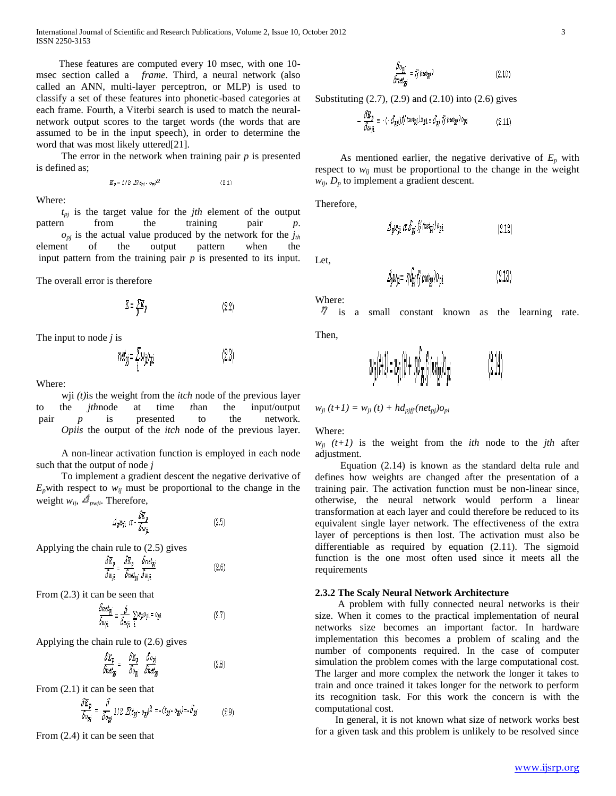International Journal of Scientific and Research Publications, Volume 2, Issue 10, October 2012 3 ISSN 2250-3153

 These features are computed every 10 msec, with one 10 msec section called a *frame*. Third, a neural network (also called an ANN, multi-layer perceptron, or MLP) is used to classify a set of these features into phonetic-based categories at each frame. Fourth, a Viterbi search is used to match the neuralnetwork output scores to the target words (the words that are assumed to be in the input speech), in order to determine the word that was most likely uttered[21].

 The error in the network when training pair *p* is presented is defined as;

$$
E_p = 1/2 \mathcal{Z}(t_{pj} - o_{pj})^2 \tag{2.1}
$$

Where:

 *tpj* is the target value for the *jth* element of the output pattern from the training pair *p*.  $o_{pi}$  is the actual value produced by the network for the  $j_{th}$ element of the output pattern when the input pattern from the training pair *p* is presented to its input.

The overall error is therefore

$$
\underline{E} = \frac{\sum E}{p} \underline{E}
$$
 (2.2)

 $(23)$ 

The input to node *j* is

$$
net_{pj} = \frac{1}{i}w_{ji}o_{pi}
$$

Where:

 wji *(t)*is the weight from the *itch* node of the previous layer to the *jth*node at time *t*han the input/output pair *p* is presented to the network. *Opiis* the output of the *itch* node of the previous layer.

 A non-linear activation function is employed in each node such that the output of node *j*

 To implement a gradient descent the negative derivative of  $E_p$ with respect to  $w_{ij}$  must be proportional to the change in the weight  $w_{ii}$ ,  $\mathcal{A}_{m\text{vii}}$ . Therefore,

$$
\mathcal{A}_p w_{ji} \ \alpha - \frac{\partial \mathbb{E}_p}{\partial w_{ji}} \tag{2.5}
$$

Applying the chain rule to (2.5) gives

$$
\frac{\partial E_p}{\partial w_{ji}} = \frac{\partial E_p}{\partial net_{pj}} \frac{\partial net_{pj}}{\partial w_{ji}}
$$
\n(2.6)

From (2.3) it can be seen that

$$
\frac{\partial net_{pj}}{\partial w_{ji}} = \frac{\delta}{\partial w_{ji}} \sum_{i} w_{ji} o_{pi} = o_{pi} \tag{2.7}
$$

Applying the chain rule to (2.6) gives

$$
\frac{\delta E_p}{\delta net_{pj}} = \frac{\delta E_p}{\delta o_{pj}} \frac{\delta o_{pj}}{\delta net_{pj}} \tag{2.8}
$$

From (2.1) it can be seen that

$$
\frac{\delta E_p}{\delta o_{pj}} = \frac{\delta}{\delta o_{pj}} \; 1/2 \; \mathcal{Z}(t_{pj} \cdot o_{pj})^2 = -(t_{pj} \cdot o_{pj}) = \delta_{pj} \eqno{(2.9)}
$$

From (2.4) it can be seen that

$$
\frac{\delta o_{pj}}{\delta net_{pj}} = f'_j \left( net_{pj} \right)
$$
\n(2.10)

Substituting (2.7), (2.9) and (2.10) into (2.6) gives

$$
-\frac{\partial \mathbb{E}_p}{\partial w_{ji}} = -(-\delta_{pj})f'_j \left( n \epsilon t_{pj} \right) \mathcal{Z}_{pi} = \delta_{pj} f'_j \left( n \epsilon t_{pj} \right) o_{pi} \tag{2.11}
$$

As mentioned earlier, the negative derivative of  $E_p$  with respect to  $w_{ij}$  must be proportional to the change in the weight  $w_{ij}$ ,  $D_p$  to implement a gradient descent.

Therefore,

$$
\mathcal{A}_{p}w_{ji} \; \alpha \; \delta_{pj} \; f'_j \; (\text{net}_{pj}) \; o_{pi} \tag{2.12}
$$

Let,

$$
\Delta_p w_{ji} = \eta \Delta_{jj} f'_j \left( n \epsilon t_{pj} \right) O_{pi} \tag{2.13}
$$

Where:

 $\%$  is a small constant known as the learning rate.

Then,

$$
w_{ji}(t+1) = w_{ji}(t) + r\hat{\rho}_{jj}t'_{j} \text{ (not }_{ij})\sigma_{ji} \tag{2.14}
$$

 $\blacksquare$ 

 $w_{ji} (t+1) = w_{ji} (t) + h d_{pi} f^{j} (net_{pi}) o_{pi}$ 

Where:

 $w_{ji}$   $(t+1)$  is the weight from the *ith* node to the *jth* after adjustment.

 Equation (2.14) is known as the standard delta rule and defines how weights are changed after the presentation of a training pair. The activation function must be non-linear since, otherwise, the neural network would perform a linear transformation at each layer and could therefore be reduced to its equivalent single layer network. The effectiveness of the extra layer of perceptions is then lost. The activation must also be differentiable as required by equation (2.11). The sigmoid function is the one most often used since it meets all the requirements

#### **2.3.2 The Scaly Neural Network Architecture**

 A problem with fully connected neural networks is their size. When it comes to the practical implementation of neural networks size becomes an important factor. In hardware implementation this becomes a problem of scaling and the number of components required. In the case of computer simulation the problem comes with the large computational cost. The larger and more complex the network the longer it takes to train and once trained it takes longer for the network to perform its recognition task. For this work the concern is with the computational cost.

 In general, it is not known what size of network works best for a given task and this problem is unlikely to be resolved since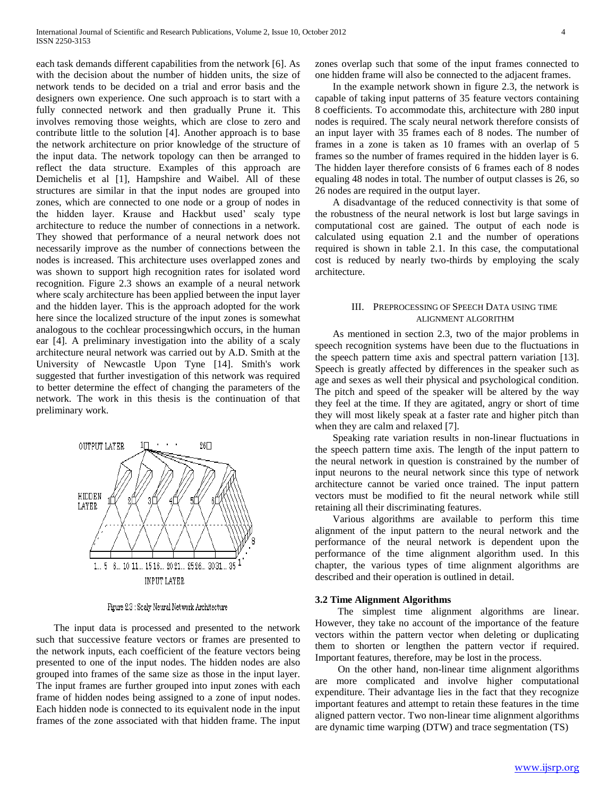each task demands different capabilities from the network [6]. As with the decision about the number of hidden units, the size of network tends to be decided on a trial and error basis and the designers own experience. One such approach is to start with a fully connected network and then gradually Prune it. This involves removing those weights, which are close to zero and contribute little to the solution [4]. Another approach is to base the network architecture on prior knowledge of the structure of the input data. The network topology can then be arranged to reflect the data structure. Examples of this approach are Demichelis et al [1], Hampshire and Waibel. All of these structures are similar in that the input nodes are grouped into zones, which are connected to one node or a group of nodes in the hidden layer. Krause and Hackbut used' scaly type architecture to reduce the number of connections in a network. They showed that performance of a neural network does not necessarily improve as the number of connections between the nodes is increased. This architecture uses overlapped zones and was shown to support high recognition rates for isolated word recognition. Figure 2.3 shows an example of a neural network where scaly architecture has been applied between the input layer and the hidden layer. This is the approach adopted for the work here since the localized structure of the input zones is somewhat analogous to the cochlear processingwhich occurs, in the human ear [4]. A preliminary investigation into the ability of a scaly architecture neural network was carried out by A.D. Smith at the University of Newcastle Upon Tyne [14]. Smith's work suggested that further investigation of this network was required to better determine the effect of changing the parameters of the network. The work in this thesis is the continuation of that preliminary work.



Figure 2.3 : Scaly Neural Network Architecture

 The input data is processed and presented to the network such that successive feature vectors or frames are presented to the network inputs, each coefficient of the feature vectors being presented to one of the input nodes. The hidden nodes are also grouped into frames of the same size as those in the input layer. The input frames are further grouped into input zones with each frame of hidden nodes being assigned to a zone of input nodes. Each hidden node is connected to its equivalent node in the input frames of the zone associated with that hidden frame. The input

zones overlap such that some of the input frames connected to one hidden frame will also be connected to the adjacent frames.

 In the example network shown in figure 2.3, the network is capable of taking input patterns of 35 feature vectors containing 8 coefficients. To accommodate this, architecture with 280 input nodes is required. The scaly neural network therefore consists of an input layer with 35 frames each of 8 nodes. The number of frames in a zone is taken as 10 frames with an overlap of 5 frames so the number of frames required in the hidden layer is 6. The hidden layer therefore consists of 6 frames each of 8 nodes equaling 48 nodes in total. The number of output classes is 26, so 26 nodes are required in the output layer.

 A disadvantage of the reduced connectivity is that some of the robustness of the neural network is lost but large savings in computational cost are gained. The output of each node is calculated using equation 2.1 and the number of operations required is shown in table 2.1. In this case, the computational cost is reduced by nearly two-thirds by employing the scaly architecture.

## III. PREPROCESSING OF SPEECH DATA USING TIME ALIGNMENT ALGORITHM

 As mentioned in section 2.3, two of the major problems in speech recognition systems have been due to the fluctuations in the speech pattern time axis and spectral pattern variation [13]. Speech is greatly affected by differences in the speaker such as age and sexes as well their physical and psychological condition. The pitch and speed of the speaker will be altered by the way they feel at the time. If they are agitated, angry or short of time they will most likely speak at a faster rate and higher pitch than when they are calm and relaxed [7].

 Speaking rate variation results in non-linear fluctuations in the speech pattern time axis. The length of the input pattern to the neural network in question is constrained by the number of input neurons to the neural network since this type of network architecture cannot be varied once trained. The input pattern vectors must be modified to fit the neural network while still retaining all their discriminating features.

 Various algorithms are available to perform this time alignment of the input pattern to the neural network and the performance of the neural network is dependent upon the performance of the time alignment algorithm used. In this chapter, the various types of time alignment algorithms are described and their operation is outlined in detail.

## **3.2 Time Alignment Algorithms**

 The simplest time alignment algorithms are linear. However, they take no account of the importance of the feature vectors within the pattern vector when deleting or duplicating them to shorten or lengthen the pattern vector if required. Important features, therefore, may be lost in the process.

 On the other hand, non-linear time alignment algorithms are more complicated and involve higher computational expenditure. Their advantage lies in the fact that they recognize important features and attempt to retain these features in the time aligned pattern vector. Two non-linear time alignment algorithms are dynamic time warping (DTW) and trace segmentation (TS)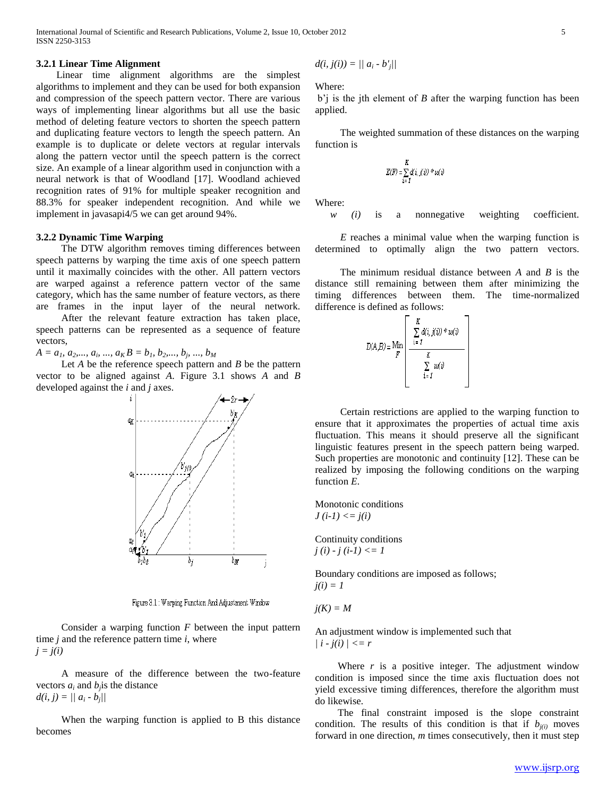International Journal of Scientific and Research Publications, Volume 2, Issue 10, October 2012 5 ISSN 2250-3153

## **3.2.1 Linear Time Alignment**

 Linear time alignment algorithms are the simplest algorithms to implement and they can be used for both expansion and compression of the speech pattern vector. There are various ways of implementing linear algorithms but all use the basic method of deleting feature vectors to shorten the speech pattern and duplicating feature vectors to length the speech pattern. An example is to duplicate or delete vectors at regular intervals along the pattern vector until the speech pattern is the correct size. An example of a linear algorithm used in conjunction with a neural network is that of Woodland [17]. Woodland achieved recognition rates of 91% for multiple speaker recognition and 88.3% for speaker independent recognition. And while we implement in javasapi4/5 we can get around 94%.

## **3.2.2 Dynamic Time Warping**

 The DTW algorithm removes timing differences between speech patterns by warping the time axis of one speech pattern until it maximally coincides with the other. All pattern vectors are warped against a reference pattern vector of the same category, which has the same number of feature vectors, as there are frames in the input layer of the neural network.

 After the relevant feature extraction has taken place, speech patterns can be represented as a sequence of feature vectors,

 $A = a_1, a_2, \ldots, a_i, \ldots, a_K B = b_1, b_2, \ldots, b_j, \ldots, b_M$ 

 Let *A* be the reference speech pattern and *B* be the pattern vector to be aligned against *A*. Figure 3.1 shows *A* and *B* developed against the *i* and *j* axes.



Figure 3.1 : Warping Function And Adjustment Window

 Consider a warping function *F* between the input pattern time *j* and the reference pattern time *i*, where *j = j(i)*

 A measure of the difference between the two-feature vectors  $a_i$  and  $b_j$  is the distance  $d(i, j) = ||a_i - b_j||$ 

 When the warping function is applied to B this distance becomes

$$
d(i, j(i)) = || a_i - b'_j ||
$$

Where:

b'j is the jth element of *B* after the warping function has been applied.

 The weighted summation of these distances on the warping function is

$$
E(F) = \sum_{i=1}^{K} d(i, j(i)) * w(i)
$$

Where:

*w (i)* is a nonnegative weighting coefficient.

 *E* reaches a minimal value when the warping function is determined to optimally align the two pattern vectors.

 The minimum residual distance between *A* and *B* is the distance still remaining between them after minimizing the timing differences between them. The time-normalized difference is defined as follows:

| $D(A,B) =$ Min | К<br>$\sum d(i,j(\hat{v})) * w(\hat{v})$<br>$i = 1$ |  |
|----------------|-----------------------------------------------------|--|
|                | K                                                   |  |
|                | шÜ<br>īτ                                            |  |
|                |                                                     |  |

 Certain restrictions are applied to the warping function to ensure that it approximates the properties of actual time axis fluctuation. This means it should preserve all the significant linguistic features present in the speech pattern being warped. Such properties are monotonic and continuity [12]. These can be realized by imposing the following conditions on the warping function *E*.

Monotonic conditions  $J(i-1) \leq j(i)$ 

Continuity conditions *j (i) - j (i-1) <= 1* 

Boundary conditions are imposed as follows; *j(i) = 1*

 $j(K) = M$ 

An adjustment window is implemented such that  $| i - j(i) | \leq r$ 

Where  $r$  is a positive integer. The adjustment window condition is imposed since the time axis fluctuation does not yield excessive timing differences, therefore the algorithm must do likewise.

 The final constraint imposed is the slope constraint condition. The results of this condition is that if  $b_{j(i)}$  moves forward in one direction, *m* times consecutively, then it must step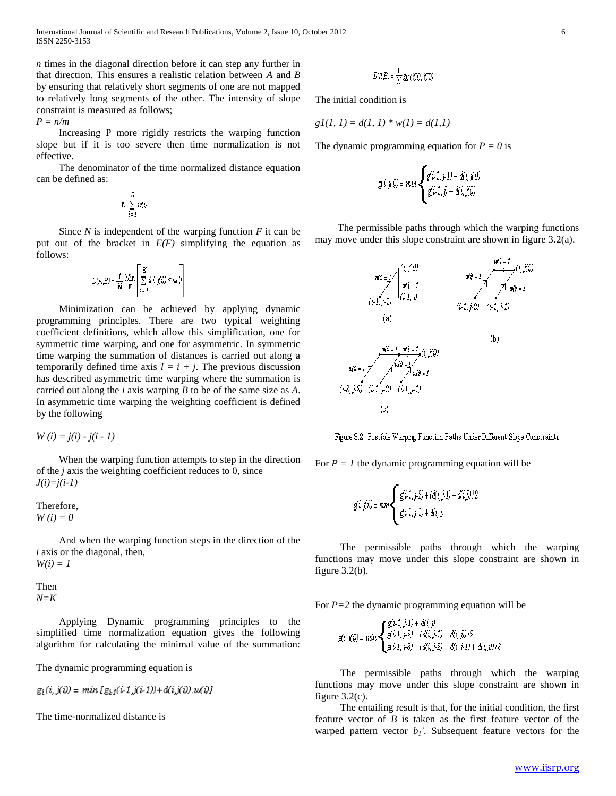*n* times in the diagonal direction before it can step any further in that direction. This ensures a realistic relation between *A* and *B* by ensuring that relatively short segments of one are not mapped to relatively long segments of the other. The intensity of slope constraint is measured as follows;

*P = n/m*

 Increasing P more rigidly restricts the warping function slope but if it is too severe then time normalization is not effective.

 The denominator of the time normalized distance equation can be defined as:

$$
N=\sum_{i=1}^K w(i)
$$

 Since *N* is independent of the warping function *F* it can be put out of the bracket in  $E(F)$  simplifying the equation as follows:

$$
D(A,B) = \frac{1}{N} \ \underset{F}{\text{Min}} \left[ \ \underset{i \, \in \, I}{\overset{K}{\sum}} \ d(i,j(i)) \ast u(i) \right]
$$

 Minimization can be achieved by applying dynamic programming principles. There are two typical weighting coefficient definitions, which allow this simplification, one for symmetric time warping, and one for asymmetric. In symmetric time warping the summation of distances is carried out along a temporarily defined time axis  $l = i + j$ . The previous discussion has described asymmetric time warping where the summation is carried out along the *i* axis warping *B* to be of the same size as *A*. In asymmetric time warping the weighting coefficient is defined by the following

 $W(i) = j(i) - j(i - 1)$ 

 When the warping function attempts to step in the direction of the *j* axis the weighting coefficient reduces to 0, since *J(i)=j(i-1)*

Therefore, *W (i) = 0*

 And when the warping function steps in the direction of the *i* axis or the diagonal, then,  $W(i) = 1$ 

Then 
$$
N=K
$$

 Applying Dynamic programming principles to the simplified time normalization equation gives the following algorithm for calculating the minimal value of the summation:

The dynamic programming equation is

$$
g_i(i, j(i)) = min[g_{i1}(i \cdot 1, j(i \cdot 1)) + d(i, j(i)) \cdot w(i)]
$$

The time-normalized distance is

$$
D(A,B) = \frac{1}{M} g_K(i(K), j(K))
$$

The initial condition is

$$
gl(1, 1) = d(1, 1) * w(1) = d(1, 1)
$$

The dynamic programming equation for  $P = 0$  is

$$
g(i,j(i)) = min \begin{cases} g(i\text{-}1,j\text{-}1) + d(i,j(i)) \\ g(i\text{-}1,j) + d(i,j(i)) \end{cases}
$$

 The permissible paths through which the warping functions may move under this slope constraint are shown in figure 3.2(a).



Figure 3.2 : Possible Warping Function Paths Under Different Slope Constraints

For  $P = I$  the dynamic programming equation will be

$$
g(i,j(i)) = min\left\{ \begin{array}{l} g(i\text{-}1,j\text{-}2) + (d(i,j\text{-}1) + d(i,j))/2 \\ g(i\text{-}1,j\text{-}1) + d(i,j) \end{array} \right.
$$

 The permissible paths through which the warping functions may move under this slope constraint are shown in figure  $3.2(b)$ .

For *P=2* the dynamic programming equation will be

$$
g(i, j(i)) = min \begin{cases} g(i, 1, j, 1) + d(i, j) \\ g(i, 1, j, 2) + (d(i, j, 1) + d(i, j))/2 \\ g(i, 1, j, 3) + (d(i, j, 2) + d(i, j, 1) + d(i, j))/3 \end{cases}
$$

 The permissible paths through which the warping functions may move under this slope constraint are shown in figure  $3.2(c)$ .

 The entailing result is that, for the initial condition, the first feature vector of *B* is taken as the first feature vector of the warped pattern vector  $b<sub>1</sub>$ <sup>'</sup>. Subsequent feature vectors for the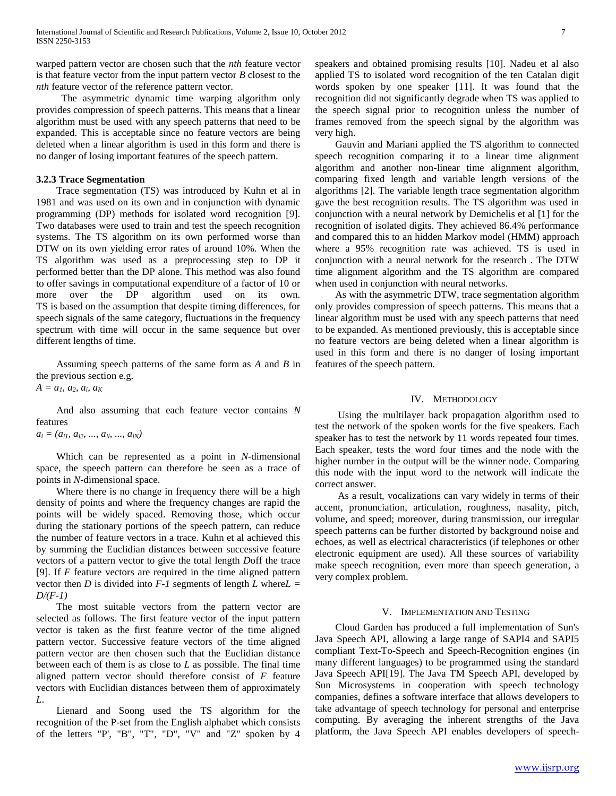warped pattern vector are chosen such that the *nth* feature vector is that feature vector from the input pattern vector *B* closest to the *nth* feature vector of the reference pattern vector.

 The asymmetric dynamic time warping algorithm only provides compression of speech patterns. This means that a linear algorithm must be used with any speech patterns that need to be expanded. This is acceptable since no feature vectors are being deleted when a linear algorithm is used in this form and there is no danger of losing important features of the speech pattern.

## **3.2.3 Trace Segmentation**

 Trace segmentation (TS) was introduced by Kuhn et al in 1981 and was used on its own and in conjunction with dynamic programming (DP) methods for isolated word recognition [9]. Two databases were used to train and test the speech recognition systems. The TS algorithm on its own performed worse than DTW on its own yielding error rates of around 10%. When the TS algorithm was used as a preprocessing step to DP it performed better than the DP alone. This method was also found to offer savings in computational expenditure of a factor of 10 or more over the DP algorithm used on its own. TS is based on the assumption that despite timing differences, for speech signals of the same category, fluctuations in the frequency spectrum with time will occur in the same sequence but over different lengths of time.

 Assuming speech patterns of the same form as *A* and *B* in the previous section e.g.

 $A = a_1, a_2, a_i, a_K$ 

 And also assuming that each feature vector contains *N* features

 $a_i = (a_{i1}, a_{i2}, ..., a_{ib}, ..., a_{iN})$ 

 Which can be represented as a point in *N*-dimensional space, the speech pattern can therefore be seen as a trace of points in *N*-dimensional space.

 Where there is no change in frequency there will be a high density of points and where the frequency changes are rapid the points will be widely spaced. Removing those, which occur during the stationary portions of the speech pattern, can reduce the number of feature vectors in a trace. Kuhn et al achieved this by summing the Euclidian distances between successive feature vectors of a pattern vector to give the total length *D*off the trace [9]. If *F* feature vectors are required in the time aligned pattern vector then *D* is divided into  $F-I$  segments of length *L* where  $L =$ *D/(F-1)*

 The most suitable vectors from the pattern vector are selected as follows. The first feature vector of the input pattern vector is taken as the first feature vector of the time aligned pattern vector. Successive feature vectors of the time aligned pattern vector are then chosen such that the Euclidian distance between each of them is as close to *L* as possible. The final time aligned pattern vector should therefore consist of *F* feature vectors with Euclidian distances between them of approximately *L*.

 Lienard and Soong used the TS algorithm for the recognition of the P-set from the English alphabet which consists of the letters "P', "B", "T", "D", "V" and "Z" spoken by 4

speakers and obtained promising results [10]. Nadeu et al also applied TS to isolated word recognition of the ten Catalan digit words spoken by one speaker [11]. It was found that the recognition did not significantly degrade when TS was applied to the speech signal prior to recognition unless the number of frames removed from the speech signal by the algorithm was very high.

 Gauvin and Mariani applied the TS algorithm to connected speech recognition comparing it to a linear time alignment algorithm and another non-linear time alignment algorithm, comparing fixed length and variable length versions of the algorithms [2]. The variable length trace segmentation algorithm gave the best recognition results. The TS algorithm was used in conjunction with a neural network by Demichelis et al [1] for the recognition of isolated digits. They achieved 86.4% performance and compared this to an hidden Markov model (HMM) approach where a 95% recognition rate was achieved. TS is used in conjunction with a neural network for the research . The DTW time alignment algorithm and the TS algorithm are compared when used in conjunction with neural networks.

 As with the asymmetric DTW, trace segmentation algorithm only provides compression of speech patterns. This means that a linear algorithm must be used with any speech patterns that need to be expanded. As mentioned previously, this is acceptable since no feature vectors are being deleted when a linear algorithm is used in this form and there is no danger of losing important features of the speech pattern.

#### IV. METHODOLOGY

 Using the multilayer back propagation algorithm used to test the network of the spoken words for the five speakers. Each speaker has to test the network by 11 words repeated four times. Each speaker, tests the word four times and the node with the higher number in the output will be the winner node. Comparing this node with the input word to the network will indicate the correct answer.

 As a result, vocalizations can vary widely in terms of their accent, pronunciation, articulation, roughness, nasality, pitch, volume, and speed; moreover, during transmission, our irregular speech patterns can be further distorted by background noise and echoes, as well as electrical characteristics (if telephones or other electronic equipment are used). All these sources of variability make speech recognition, even more than speech generation, a very complex problem.

## V. IMPLEMENTATION AND TESTING

 Cloud Garden has produced a full implementation of Sun's Java Speech API, allowing a large range of SAPI4 and SAPI5 compliant Text-To-Speech and Speech-Recognition engines (in many different languages) to be programmed using the standard Java Speech API[19]. The Java TM Speech API, developed by Sun Microsystems in cooperation with speech technology companies, defines a software interface that allows developers to take advantage of speech technology for personal and enterprise computing. By averaging the inherent strengths of the Java platform, the Java Speech API enables developers of speech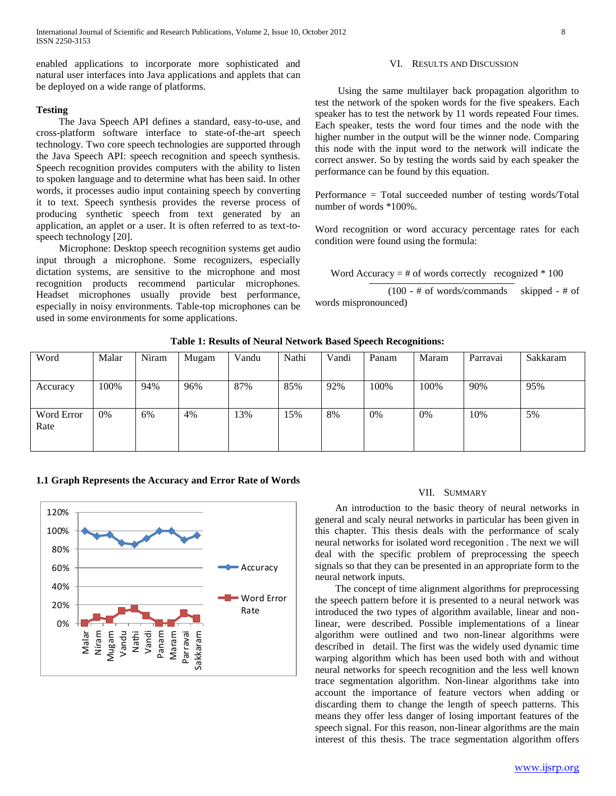enabled applications to incorporate more sophisticated and natural user interfaces into Java applications and applets that can be deployed on a wide range of platforms.

## **Testing**

 The Java Speech API defines a standard, easy-to-use, and cross-platform software interface to state-of-the-art speech technology. Two core speech technologies are supported through the Java Speech API: speech recognition and speech synthesis. Speech recognition provides computers with the ability to listen to spoken language and to determine what has been said. In other words, it processes audio input containing speech by converting it to text. Speech synthesis provides the reverse process of producing synthetic speech from text generated by an application, an applet or a user. It is often referred to as text-tospeech technology [20].

 Microphone: Desktop speech recognition systems get audio input through a microphone. Some recognizers, especially dictation systems, are sensitive to the microphone and most recognition products recommend particular microphones. Headset microphones usually provide best performance, especially in noisy environments. Table-top microphones can be used in some environments for some applications.

#### VI. RESULTS AND DISCUSSION

 Using the same multilayer back propagation algorithm to test the network of the spoken words for the five speakers. Each speaker has to test the network by 11 words repeated Four times. Each speaker, tests the word four times and the node with the higher number in the output will be the winner node. Comparing this node with the input word to the network will indicate the correct answer. So by testing the words said by each speaker the performance can be found by this equation.

Performance = Total succeeded number of testing words/Total number of words \*100%.

Word recognition or word accuracy percentage rates for each condition were found using the formula:

Word Accuracy  $=$  # of words correctly recognized  $*$  100

 (100 - # of words/commands skipped - # of words mispronounced)

|                    |       | $\sim$ |       |       |       |       |       |       |          |          |
|--------------------|-------|--------|-------|-------|-------|-------|-------|-------|----------|----------|
| Word               | Malar | Niram  | Mugam | Vandu | Nathi | Vandi | Panam | Maram | Parravai | Sakkaram |
| Accuracy           | 100%  | 94%    | 96%   | 87%   | 85%   | 92%   | 100%  | 100%  | 90%      | 95%      |
| Word Error<br>Rate | 0%    | 6%     | 4%    | 13%   | 15%   | 8%    | 0%    | 0%    | 10%      | 5%       |

#### **Table 1: Results of Neural Network Based Speech Recognitions:**

## **1.1 Graph Represents the Accuracy and Error Rate of Words**



#### VII. SUMMARY

 An introduction to the basic theory of neural networks in general and scaly neural networks in particular has been given in this chapter. This thesis deals with the performance of scaly neural networks for isolated word recegonition . The next we will deal with the specific problem of preprocessing the speech signals so that they can be presented in an appropriate form to the neural network inputs.

 The concept of time alignment algorithms for preprocessing the speech pattern before it is presented to a neural network was introduced the two types of algorithm available, linear and nonlinear, were described. Possible implementations of a linear algorithm were outlined and two non-linear algorithms were described in detail. The first was the widely used dynamic time warping algorithm which has been used both with and without neural networks for speech recognition and the less well known trace segmentation algorithm. Non-linear algorithms take into account the importance of feature vectors when adding or discarding them to change the length of speech patterns. This means they offer less danger of losing important features of the speech signal. For this reason, non-linear algorithms are the main interest of this thesis. The trace segmentation algorithm offers